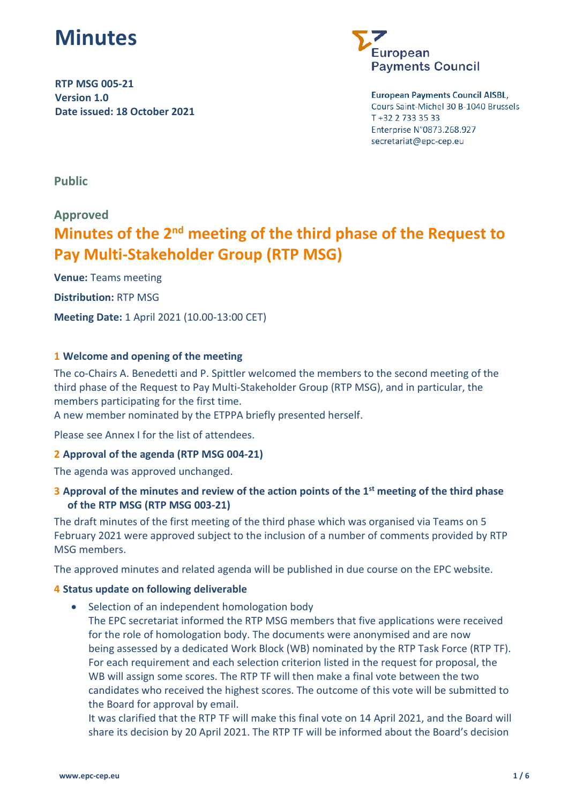

**RTP MSG 005-21 Version 1.0 Date issued: 18 October 2021**



#### **European Payments Council AISBL,**

Cours Saint-Michel 30 B-1040 Brussels T +32 2 733 35 33 Enterprise N°0873.268.927 secretariat@epc-cep.eu

**Public**

# **Approved**

# **Minutes of the 2nd meeting of the third phase of the Request to Pay Multi-Stakeholder Group (RTP MSG)**

**Venue:** Teams meeting **Distribution:** RTP MSG **Meeting Date:** 1 April 2021 (10.00-13:00 CET)

# **1 Welcome and opening of the meeting**

The co-Chairs A. Benedetti and P. Spittler welcomed the members to the second meeting of the third phase of the Request to Pay Multi-Stakeholder Group (RTP MSG), and in particular, the members participating for the first time.

A new member nominated by the ETPPA briefly presented herself.

Please see Annex I for the list of attendees.

# **2 Approval of the agenda (RTP MSG 004-21)**

The agenda was approved unchanged.

# **3 Approval of the minutes and review of the action points of the 1st meeting of the third phase of the RTP MSG (RTP MSG 003-21)**

The draft minutes of the first meeting of the third phase which was organised via Teams on 5 February 2021 were approved subject to the inclusion of a number of comments provided by RTP MSG members.

The approved minutes and related agenda will be published in due course on the EPC website.

#### **4 Status update on following deliverable**

- Selection of an independent homologation body
	- The EPC secretariat informed the RTP MSG members that five applications were received for the role of homologation body. The documents were anonymised and are now being assessed by a dedicated Work Block (WB) nominated by the RTP Task Force (RTP TF). For each requirement and each selection criterion listed in the request for proposal, the WB will assign some scores. The RTP TF will then make a final vote between the two candidates who received the highest scores. The outcome of this vote will be submitted to the Board for approval by email.

It was clarified that the RTP TF will make this final vote on 14 April 2021, and the Board will share its decision by 20 April 2021. The RTP TF will be informed about the Board's decision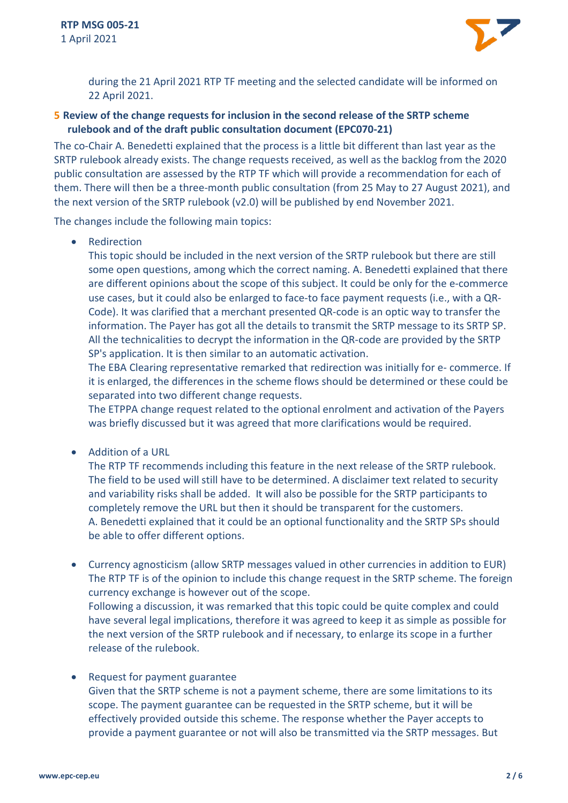

during the 21 April 2021 RTP TF meeting and the selected candidate will be informed on 22 April 2021.

# **5 Review of the change requests for inclusion in the second release of the SRTP scheme rulebook and of the draft public consultation document (EPC070-21)**

The co-Chair A. Benedetti explained that the process is a little bit different than last year as the SRTP rulebook already exists. The change requests received, as well as the backlog from the 2020 public consultation are assessed by the RTP TF which will provide a recommendation for each of them. There will then be a three-month public consultation (from 25 May to 27 August 2021), and the next version of the SRTP rulebook (v2.0) will be published by end November 2021.

The changes include the following main topics:

• Redirection

This topic should be included in the next version of the SRTP rulebook but there are still some open questions, among which the correct naming. A. Benedetti explained that there are different opinions about the scope of this subject. It could be only for the e-commerce use cases, but it could also be enlarged to face-to face payment requests (i.e., with a QR-Code). It was clarified that a merchant presented QR-code is an optic way to transfer the information. The Payer has got all the details to transmit the SRTP message to its SRTP SP. All the technicalities to decrypt the information in the QR-code are provided by the SRTP SP's application. It is then similar to an automatic activation.

The EBA Clearing representative remarked that redirection was initially for e- commerce. If it is enlarged, the differences in the scheme flows should be determined or these could be separated into two different change requests.

The ETPPA change request related to the optional enrolment and activation of the Payers was briefly discussed but it was agreed that more clarifications would be required.

• Addition of a URL

The RTP TF recommends including this feature in the next release of the SRTP rulebook. The field to be used will still have to be determined. A disclaimer text related to security and variability risks shall be added. It will also be possible for the SRTP participants to completely remove the URL but then it should be transparent for the customers. A. Benedetti explained that it could be an optional functionality and the SRTP SPs should be able to offer different options.

- Currency agnosticism (allow SRTP messages valued in other currencies in addition to EUR) The RTP TF is of the opinion to include this change request in the SRTP scheme. The foreign currency exchange is however out of the scope. Following a discussion, it was remarked that this topic could be quite complex and could have several legal implications, therefore it was agreed to keep it as simple as possible for the next version of the SRTP rulebook and if necessary, to enlarge its scope in a further release of the rulebook.
- Request for payment guarantee Given that the SRTP scheme is not a payment scheme, there are some limitations to its scope. The payment guarantee can be requested in the SRTP scheme, but it will be effectively provided outside this scheme. The response whether the Payer accepts to provide a payment guarantee or not will also be transmitted via the SRTP messages. But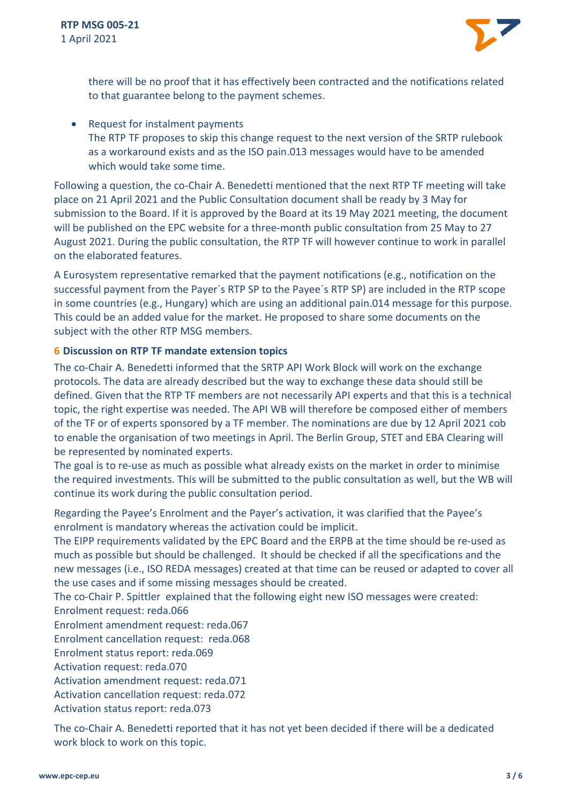

there will be no proof that it has effectively been contracted and the notifications related to that guarantee belong to the payment schemes.

• Request for instalment payments The RTP TF proposes to skip this change request to the next version of the SRTP rulebook as a workaround exists and as the ISO pain.013 messages would have to be amended which would take some time.

Following a question, the co-Chair A. Benedetti mentioned that the next RTP TF meeting will take place on 21 April 2021 and the Public Consultation document shall be ready by 3 May for submission to the Board. If it is approved by the Board at its 19 May 2021 meeting, the document will be published on the EPC website for a three-month public consultation from 25 May to 27 August 2021. During the public consultation, the RTP TF will however continue to work in parallel on the elaborated features.

A Eurosystem representative remarked that the payment notifications (e.g., notification on the successful payment from the Payer´s RTP SP to the Payee´s RTP SP) are included in the RTP scope in some countries (e.g., Hungary) which are using an additional pain.014 message for this purpose. This could be an added value for the market. He proposed to share some documents on the subject with the other RTP MSG members.

# **6 Discussion on RTP TF mandate extension topics**

The co-Chair A. Benedetti informed that the SRTP API Work Block will work on the exchange protocols. The data are already described but the way to exchange these data should still be defined. Given that the RTP TF members are not necessarily API experts and that this is a technical topic, the right expertise was needed. The API WB will therefore be composed either of members of the TF or of experts sponsored by a TF member. The nominations are due by 12 April 2021 cob to enable the organisation of two meetings in April. The Berlin Group, STET and EBA Clearing will be represented by nominated experts.

The goal is to re-use as much as possible what already exists on the market in order to minimise the required investments. This will be submitted to the public consultation as well, but the WB will continue its work during the public consultation period.

Regarding the Payee's Enrolment and the Payer's activation, it was clarified that the Payee's enrolment is mandatory whereas the activation could be implicit.

The EIPP requirements validated by the EPC Board and the ERPB at the time should be re-used as much as possible but should be challenged. It should be checked if all the specifications and the new messages (i.e., ISO REDA messages) created at that time can be reused or adapted to cover all the use cases and if some missing messages should be created.

The co-Chair P. Spittler explained that the following eight new ISO messages were created: Enrolment request: reda.066

Enrolment amendment request: reda.067

Enrolment cancellation request: reda.068

Enrolment status report: reda.069

Activation request: reda.070

Activation amendment request: reda.071

Activation cancellation request: reda.072

Activation status report: reda.073

The co-Chair A. Benedetti reported that it has not yet been decided if there will be a dedicated work block to work on this topic.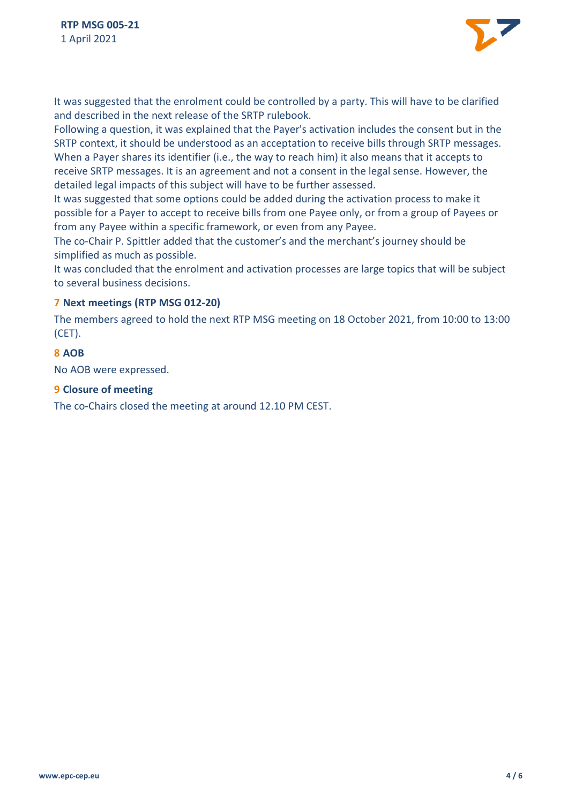

It was suggested that the enrolment could be controlled by a party. This will have to be clarified and described in the next release of the SRTP rulebook.

Following a question, it was explained that the Payer's activation includes the consent but in the SRTP context, it should be understood as an acceptation to receive bills through SRTP messages. When a Payer shares its identifier (i.e., the way to reach him) it also means that it accepts to receive SRTP messages. It is an agreement and not a consent in the legal sense. However, the detailed legal impacts of this subject will have to be further assessed.

It was suggested that some options could be added during the activation process to make it possible for a Payer to accept to receive bills from one Payee only, or from a group of Payees or from any Payee within a specific framework, or even from any Payee.

The co-Chair P. Spittler added that the customer's and the merchant's journey should be simplified as much as possible.

It was concluded that the enrolment and activation processes are large topics that will be subject to several business decisions.

# **7 Next meetings (RTP MSG 012-20)**

The members agreed to hold the next RTP MSG meeting on 18 October 2021, from 10:00 to 13:00 (CET).

# **8 AOB**

No AOB were expressed.

# **9 Closure of meeting**

The co-Chairs closed the meeting at around 12.10 PM CEST.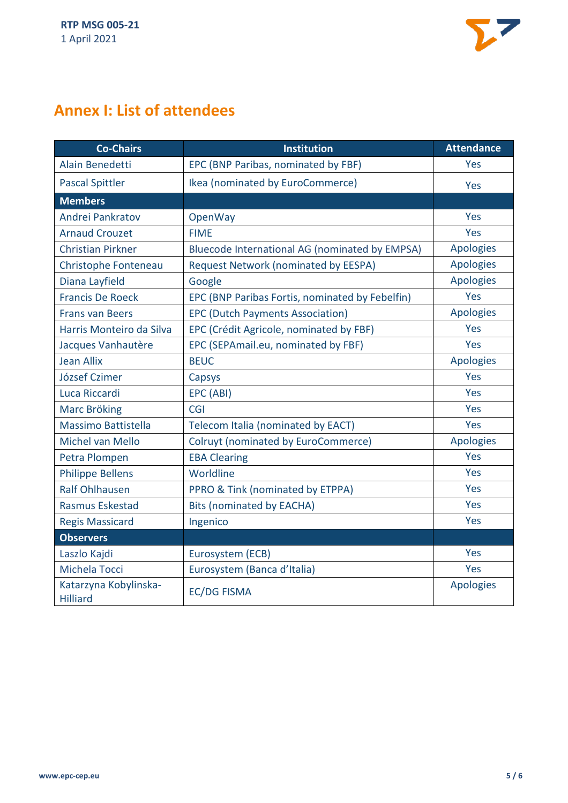

# **Annex I: List of attendees**

| <b>Co-Chairs</b>                         | <b>Institution</b>                              | <b>Attendance</b> |
|------------------------------------------|-------------------------------------------------|-------------------|
| Alain Benedetti                          | EPC (BNP Paribas, nominated by FBF)             | Yes               |
| <b>Pascal Spittler</b>                   | Ikea (nominated by EuroCommerce)                | Yes               |
| <b>Members</b>                           |                                                 |                   |
| Andrei Pankratov                         | OpenWay                                         | Yes               |
| <b>Arnaud Crouzet</b>                    | <b>FIME</b>                                     | Yes               |
| <b>Christian Pirkner</b>                 | Bluecode International AG (nominated by EMPSA)  | <b>Apologies</b>  |
| Christophe Fonteneau                     | Request Network (nominated by EESPA)            | <b>Apologies</b>  |
| Diana Layfield                           | Google                                          | <b>Apologies</b>  |
| <b>Francis De Roeck</b>                  | EPC (BNP Paribas Fortis, nominated by Febelfin) | Yes               |
| <b>Frans van Beers</b>                   | <b>EPC (Dutch Payments Association)</b>         | <b>Apologies</b>  |
| Harris Monteiro da Silva                 | EPC (Crédit Agricole, nominated by FBF)         | Yes               |
| Jacques Vanhautère                       | EPC (SEPAmail.eu, nominated by FBF)             | Yes               |
| <b>Jean Allix</b>                        | <b>BEUC</b>                                     | <b>Apologies</b>  |
| József Czimer                            | Capsys                                          | Yes               |
| Luca Riccardi                            | EPC (ABI)                                       | Yes               |
| <b>Marc Bröking</b>                      | <b>CGI</b>                                      | Yes               |
| Massimo Battistella                      | Telecom Italia (nominated by EACT)              | Yes               |
| Michel van Mello                         | Colruyt (nominated by EuroCommerce)             | <b>Apologies</b>  |
| Petra Plompen                            | <b>EBA Clearing</b>                             | Yes               |
| <b>Philippe Bellens</b>                  | Worldline                                       | Yes               |
| <b>Ralf Ohlhausen</b>                    | PPRO & Tink (nominated by ETPPA)                | Yes               |
| Rasmus Eskestad                          | <b>Bits (nominated by EACHA)</b>                | Yes               |
| <b>Regis Massicard</b>                   | Ingenico                                        | Yes               |
| <b>Observers</b>                         |                                                 |                   |
| Laszlo Kajdi                             | Eurosystem (ECB)                                | Yes               |
| Michela Tocci                            | Eurosystem (Banca d'Italia)                     | Yes               |
| Katarzyna Kobylinska-<br><b>Hilliard</b> | <b>EC/DG FISMA</b>                              | <b>Apologies</b>  |